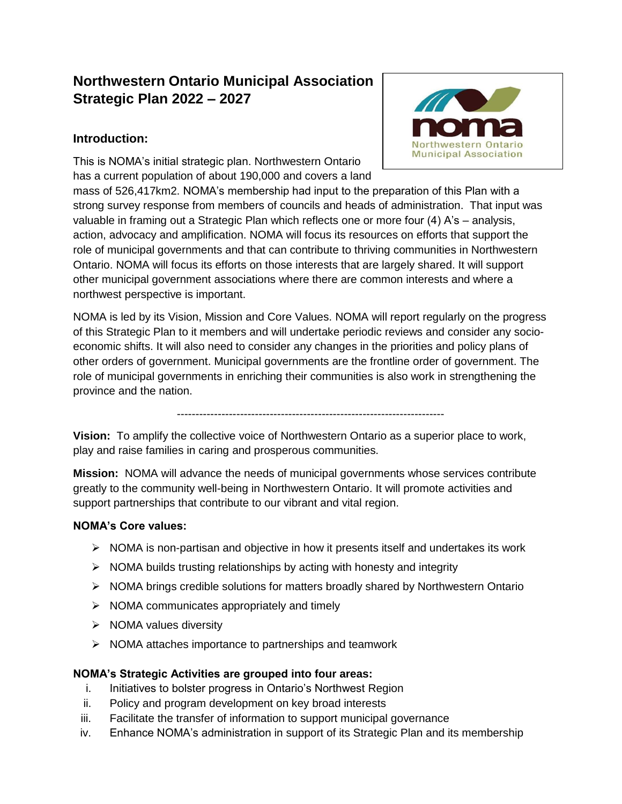# **Northwestern Ontario Municipal Association Strategic Plan 2022 – 2027**

# **Introduction:**

This is NOMA's initial strategic plan. Northwestern Ontario has a current population of about 190,000 and covers a land



mass of 526,417km2. NOMA's membership had input to the preparation of this Plan with a strong survey response from members of councils and heads of administration. That input was valuable in framing out a Strategic Plan which reflects one or more four (4) A's – analysis, action, advocacy and amplification. NOMA will focus its resources on efforts that support the role of municipal governments and that can contribute to thriving communities in Northwestern Ontario. NOMA will focus its efforts on those interests that are largely shared. It will support other municipal government associations where there are common interests and where a northwest perspective is important.

NOMA is led by its Vision, Mission and Core Values. NOMA will report regularly on the progress of this Strategic Plan to it members and will undertake periodic reviews and consider any socioeconomic shifts. It will also need to consider any changes in the priorities and policy plans of other orders of government. Municipal governments are the frontline order of government. The role of municipal governments in enriching their communities is also work in strengthening the province and the nation.

------------------------------------------------------------------------

**Vision:** To amplify the collective voice of Northwestern Ontario as a superior place to work, play and raise families in caring and prosperous communities.

**Mission:** NOMA will advance the needs of municipal governments whose services contribute greatly to the community well-being in Northwestern Ontario. It will promote activities and support partnerships that contribute to our vibrant and vital region.

# **NOMA's Core values:**

- $\triangleright$  NOMA is non-partisan and objective in how it presents itself and undertakes its work
- $\triangleright$  NOMA builds trusting relationships by acting with honesty and integrity
- $\triangleright$  NOMA brings credible solutions for matters broadly shared by Northwestern Ontario
- $\triangleright$  NOMA communicates appropriately and timely
- $\triangleright$  NOMA values diversity
- $\triangleright$  NOMA attaches importance to partnerships and teamwork

#### **NOMA's Strategic Activities are grouped into four areas:**

- i. Initiatives to bolster progress in Ontario's Northwest Region
- ii. Policy and program development on key broad interests
- iii. Facilitate the transfer of information to support municipal governance
- iv. Enhance NOMA's administration in support of its Strategic Plan and its membership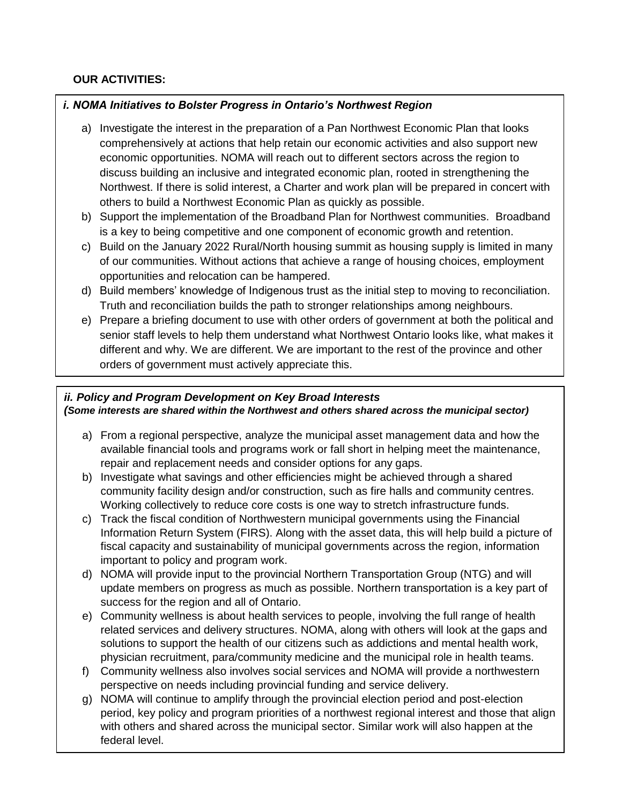## **OUR ACTIVITIES:**

## *i. NOMA Initiatives to Bolster Progress in Ontario's Northwest Region*

- a) Investigate the interest in the preparation of a Pan Northwest Economic Plan that looks comprehensively at actions that help retain our economic activities and also support new economic opportunities. NOMA will reach out to different sectors across the region to discuss building an inclusive and integrated economic plan, rooted in strengthening the Northwest. If there is solid interest, a Charter and work plan will be prepared in concert with others to build a Northwest Economic Plan as quickly as possible.
- b) Support the implementation of the Broadband Plan for Northwest communities. Broadband is a key to being competitive and one component of economic growth and retention.
- c) Build on the January 2022 Rural/North housing summit as housing supply is limited in many of our communities. Without actions that achieve a range of housing choices, employment opportunities and relocation can be hampered.
- d) Build members' knowledge of Indigenous trust as the initial step to moving to reconciliation. Truth and reconciliation builds the path to stronger relationships among neighbours.
- e) Prepare a briefing document to use with other orders of government at both the political and senior staff levels to help them understand what Northwest Ontario looks like, what makes it different and why. We are different. We are important to the rest of the province and other orders of government must actively appreciate this.

#### *ii. Policy and Program Development on Key Broad Interests (Some interests are shared within the Northwest and others shared across the municipal sector)*

- a) From a regional perspective, analyze the municipal asset management data and how the available financial tools and programs work or fall short in helping meet the maintenance, repair and replacement needs and consider options for any gaps.
- b) Investigate what savings and other efficiencies might be achieved through a shared community facility design and/or construction, such as fire halls and community centres. Working collectively to reduce core costs is one way to stretch infrastructure funds.
- c) Track the fiscal condition of Northwestern municipal governments using the Financial Information Return System (FIRS). Along with the asset data, this will help build a picture of fiscal capacity and sustainability of municipal governments across the region, information important to policy and program work.
- d) NOMA will provide input to the provincial Northern Transportation Group (NTG) and will update members on progress as much as possible. Northern transportation is a key part of success for the region and all of Ontario.
- e) Community wellness is about health services to people, involving the full range of health related services and delivery structures. NOMA, along with others will look at the gaps and solutions to support the health of our citizens such as addictions and mental health work, physician recruitment, para/community medicine and the municipal role in health teams.
- f) Community wellness also involves social services and NOMA will provide a northwestern perspective on needs including provincial funding and service delivery.
- g) NOMA will continue to amplify through the provincial election period and post-election period, key policy and program priorities of a northwest regional interest and those that align with others and shared across the municipal sector. Similar work will also happen at the federal level.